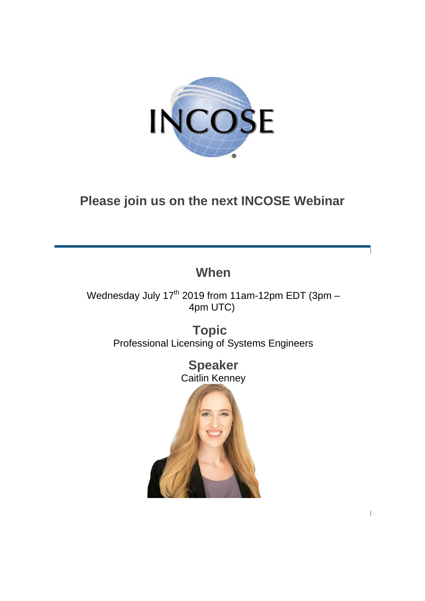

# **Please join us on the next INCOSE Webinar**

## **When**

Wednesday July  $17<sup>th</sup>$  2019 from 11am-12pm EDT (3pm – 4pm UTC)

> **Topic**  Professional Licensing of Systems Engineers

> > **Speaker** Caitlin Kenney

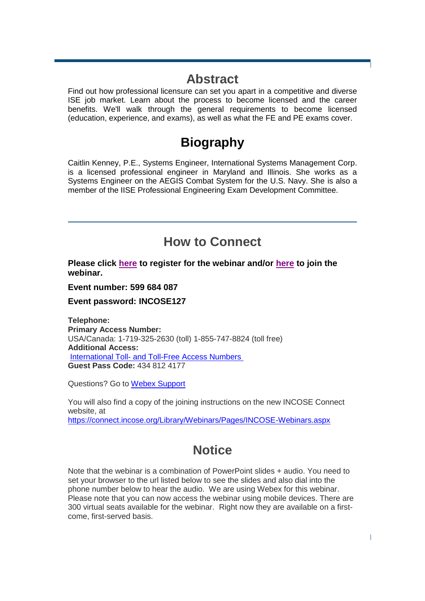### **Abstract**

Find out how professional licensure can set you apart in a competitive and diverse ISE job market. Learn about the process to become licensed and the career benefits. We'll walk through the general requirements to become licensed (education, experience, and exams), as well as what the FE and PE exams cover.

## **Biography**

Caitlin Kenney, P.E., Systems Engineer, International Systems Management Corp. is a licensed professional engineer in Maryland and Illinois. She works as a Systems Engineer on the AEGIS Combat System for the U.S. Navy. She is also a member of the IISE Professional Engineering Exam Development Committee.

### **How to Connect**

**Please click [here](https://incoseevents.webex.com/incoseevents/onstage/g.php?MTID=edb8de2b00e89b7968a746e89ad56a976) to register for the webinar and/or [here](https://incoseevents.webex.com/incoseevents/onstage/g.php?MTID=e091ddce7067178f503bcd995ac699fe4) to join the webinar.**

**Event number: 599 684 087**

**Event password: INCOSE127**

**Telephone: Primary Access Number:** USA/Canada: 1-719-325-2630 (toll) 1-855-747-8824 (toll free) **Additional Access:** International Toll- [and Toll-Free Access Numbers](https://www.myrcplus.com/cnums.asp?bwebid=8369444&ppc=4348124177&num=18557478824&num2=17193252630) **Guest Pass Code:** 434 812 4177

Questions? Go to [Webex Support](https://www.webex.com/faqs.html)

You will also find a copy of the joining instructions on the new INCOSE Connect website, at <https://connect.incose.org/Library/Webinars/Pages/INCOSE-Webinars.aspx>

## **Notice**

Note that the webinar is a combination of PowerPoint slides + audio. You need to set your browser to the url listed below to see the slides and also dial into the phone number below to hear the audio. We are using Webex for this webinar. Please note that you can now access the webinar using mobile devices. There are 300 virtual seats available for the webinar. Right now they are available on a firstcome, first-served basis.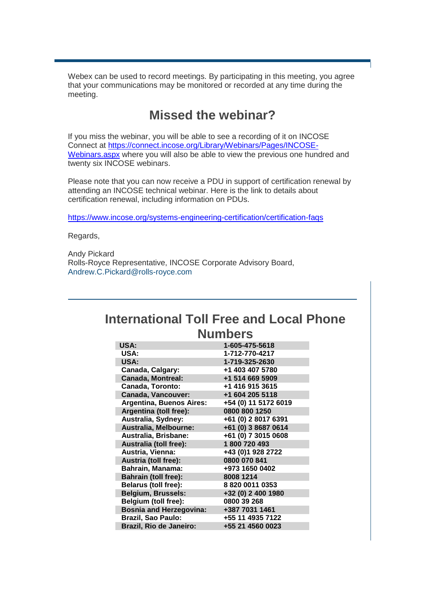Webex can be used to record meetings. By participating in this meeting, you agree that your communications may be monitored or recorded at any time during the meeting.

### **Missed the webinar?**

If you miss the webinar, you will be able to see a recording of it on INCOSE Connect at [https://connect.incose.org/Library/Webinars/Pages/INCOSE-](https://connect.incose.org/Library/Webinars/Pages/INCOSE-Webinars.aspx)[Webinars.aspx](https://connect.incose.org/Library/Webinars/Pages/INCOSE-Webinars.aspx) where you will also be able to view the previous one hundred and twenty six INCOSE webinars.

Please note that you can now receive a PDU in support of certification renewal by attending an INCOSE technical webinar. Here is the link to details about certification renewal, including information on PDUs.

<https://www.incose.org/systems-engineering-certification/certification-faqs>

Regards,

Andy Pickard Rolls-Royce Representative, INCOSE Corporate Advisory Board, [Andrew.C.Pickard@rolls-royce.com](mailto:Andrew.C.Pickard@rolls-royce.com)

### **International Toll Free and Local Phone Numbers**

| <b>USA:</b>                     | 1-605-475-5618       |
|---------------------------------|----------------------|
| <b>USA:</b>                     | 1-712-770-4217       |
| USA:                            | 1-719-325-2630       |
| Canada, Calgary:                | +1 403 407 5780      |
| <b>Canada, Montreal:</b>        | +1 514 669 5909      |
| <b>Canada, Toronto:</b>         | +1 416 915 3615      |
| <b>Canada, Vancouver:</b>       | +1 604 205 5118      |
| <b>Argentina, Buenos Aires:</b> | +54 (0) 11 5172 6019 |
| Argentina (toll free):          | 0800 800 1250        |
| Australia, Sydney:              | +61 (0) 2 8017 6391  |
| Australia, Melbourne:           | +61 (0) 3 8687 0614  |
| Australia, Brisbane:            | +61 (0) 7 3015 0608  |
| <b>Australia (toll free):</b>   | 1800720493           |
| Austria, Vienna:                | +43 (0)1 928 2722    |
| <b>Austria (toll free):</b>     | 0800 070 841         |
| <b>Bahrain, Manama:</b>         | +973 1650 0402       |
| <b>Bahrain (toll free):</b>     | 8008 1214            |
| <b>Belarus (toll free):</b>     | 8 820 0011 0353      |
| <b>Belgium, Brussels:</b>       | +32 (0) 2 400 1980   |
| <b>Belgium (toll free):</b>     | 0800 39 268          |
| <b>Bosnia and Herzegovina:</b>  | +387 7031 1461       |
| <b>Brazil, Sao Paulo:</b>       | +55 11 4935 7122     |
| <b>Brazil, Rio de Janeiro:</b>  | +55 21 4560 0023     |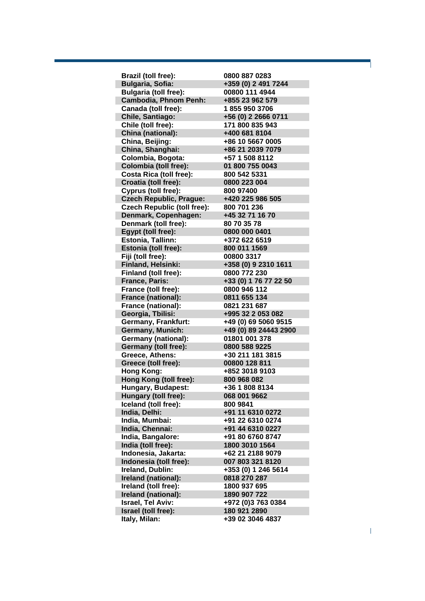| <b>Bulgaria, Sofia:</b><br>+359 (0) 2 491 7244<br>00800 111 4944<br><b>Bulgaria (toll free):</b><br><b>Cambodia, Phnom Penh:</b><br>+855 23 962 579<br>Canada (toll free):<br>18559503706<br>+56 (0) 2 2666 0711<br>Chile, Santiago:<br>171 800 835 943<br>Chile (toll free):<br>China (national):<br>+400 681 8104<br>+86 10 5667 0005<br>China, Beijing:<br>+86 21 2039 7079<br>China, Shanghai:<br>Colombia, Bogota:<br>+57 1 508 8112<br><b>Colombia (toll free):</b><br>01 800 755 0043<br><b>Costa Rica (toll free):</b><br>800 542 5331<br>Croatia (toll free):<br>0800 223 004<br>Cyprus (toll free):<br>800 97400<br><b>Czech Republic, Prague:</b><br>+420 225 986 505<br><b>Czech Republic (toll free):</b><br>800 701 236<br>Denmark, Copenhagen:<br>+45 32 71 16 70<br>80 70 35 78<br>Denmark (toll free):<br>Egypt (toll free):<br>0800 000 0401<br>+372 622 6519<br><b>Estonia, Tallinn:</b><br>800 011 1569<br>Estonia (toll free):<br>Fiji (toll free):<br>00800 3317<br>+358 (0) 9 2310 1611<br>Finland, Helsinki:<br>Finland (toll free):<br>0800 772 230<br>+33 (0) 1 76 77 22 50<br><b>France, Paris:</b><br>France (toll free):<br>0800 946 112<br>0811 655 134<br>France (national):<br>France (national):<br>0821 231 687<br>Georgia, Tbilisi:<br>+995 32 2 053 082<br>+49 (0) 69 5060 9515<br>Germany, Frankfurt:<br><b>Germany, Munich:</b><br>+49 (0) 89 24443 2900<br>01801 001 378<br><b>Germany (national):</b><br><b>Germany (toll free):</b><br>0800 588 9225<br>Greece, Athens:<br>+30 211 181 3815<br>Greece (toll free):<br>00800 128 811<br>+852 3018 9103<br>Hong Kong:<br>Hong Kong (toll free):<br>800 968 082<br>Hungary, Budapest:<br>+36 1 808 8134<br>Hungary (toll free):<br>068 001 9662<br>Iceland (toll free):<br>800 9841<br>India, Delhi:<br>+91 11 6310 0272<br>India, Mumbai:<br>+91 22 6310 0274<br>India, Chennai:<br>+91 44 6310 0227<br>India, Bangalore:<br>+91 80 6760 8747<br>India (toll free):<br>1800 3010 1564<br>Indonesia, Jakarta:<br>+62 21 2188 9079<br>007 803 321 8120<br>Indonesia (toll free):<br>Ireland, Dublin:<br>+353 (0) 1 246 5614<br>0818 270 287<br>Ireland (national):<br>Ireland (toll free):<br>1800 937 695<br>Ireland (national):<br>1890 907 722<br>Israel, Tel Aviv:<br>+972 (0)3 763 0384<br>180 921 2890<br>Israel (toll free): | Brazil (toll free): | 0800 887 0283 |
|--------------------------------------------------------------------------------------------------------------------------------------------------------------------------------------------------------------------------------------------------------------------------------------------------------------------------------------------------------------------------------------------------------------------------------------------------------------------------------------------------------------------------------------------------------------------------------------------------------------------------------------------------------------------------------------------------------------------------------------------------------------------------------------------------------------------------------------------------------------------------------------------------------------------------------------------------------------------------------------------------------------------------------------------------------------------------------------------------------------------------------------------------------------------------------------------------------------------------------------------------------------------------------------------------------------------------------------------------------------------------------------------------------------------------------------------------------------------------------------------------------------------------------------------------------------------------------------------------------------------------------------------------------------------------------------------------------------------------------------------------------------------------------------------------------------------------------------------------------------------------------------------------------------------------------------------------------------------------------------------------------------------------------------------------------------------------------------------------------------------------------------------------------------------------------------------------------------------------------------------------------------------------------------------------------------------------|---------------------|---------------|
|                                                                                                                                                                                                                                                                                                                                                                                                                                                                                                                                                                                                                                                                                                                                                                                                                                                                                                                                                                                                                                                                                                                                                                                                                                                                                                                                                                                                                                                                                                                                                                                                                                                                                                                                                                                                                                                                                                                                                                                                                                                                                                                                                                                                                                                                                                                          |                     |               |
|                                                                                                                                                                                                                                                                                                                                                                                                                                                                                                                                                                                                                                                                                                                                                                                                                                                                                                                                                                                                                                                                                                                                                                                                                                                                                                                                                                                                                                                                                                                                                                                                                                                                                                                                                                                                                                                                                                                                                                                                                                                                                                                                                                                                                                                                                                                          |                     |               |
|                                                                                                                                                                                                                                                                                                                                                                                                                                                                                                                                                                                                                                                                                                                                                                                                                                                                                                                                                                                                                                                                                                                                                                                                                                                                                                                                                                                                                                                                                                                                                                                                                                                                                                                                                                                                                                                                                                                                                                                                                                                                                                                                                                                                                                                                                                                          |                     |               |
|                                                                                                                                                                                                                                                                                                                                                                                                                                                                                                                                                                                                                                                                                                                                                                                                                                                                                                                                                                                                                                                                                                                                                                                                                                                                                                                                                                                                                                                                                                                                                                                                                                                                                                                                                                                                                                                                                                                                                                                                                                                                                                                                                                                                                                                                                                                          |                     |               |
|                                                                                                                                                                                                                                                                                                                                                                                                                                                                                                                                                                                                                                                                                                                                                                                                                                                                                                                                                                                                                                                                                                                                                                                                                                                                                                                                                                                                                                                                                                                                                                                                                                                                                                                                                                                                                                                                                                                                                                                                                                                                                                                                                                                                                                                                                                                          |                     |               |
|                                                                                                                                                                                                                                                                                                                                                                                                                                                                                                                                                                                                                                                                                                                                                                                                                                                                                                                                                                                                                                                                                                                                                                                                                                                                                                                                                                                                                                                                                                                                                                                                                                                                                                                                                                                                                                                                                                                                                                                                                                                                                                                                                                                                                                                                                                                          |                     |               |
|                                                                                                                                                                                                                                                                                                                                                                                                                                                                                                                                                                                                                                                                                                                                                                                                                                                                                                                                                                                                                                                                                                                                                                                                                                                                                                                                                                                                                                                                                                                                                                                                                                                                                                                                                                                                                                                                                                                                                                                                                                                                                                                                                                                                                                                                                                                          |                     |               |
|                                                                                                                                                                                                                                                                                                                                                                                                                                                                                                                                                                                                                                                                                                                                                                                                                                                                                                                                                                                                                                                                                                                                                                                                                                                                                                                                                                                                                                                                                                                                                                                                                                                                                                                                                                                                                                                                                                                                                                                                                                                                                                                                                                                                                                                                                                                          |                     |               |
|                                                                                                                                                                                                                                                                                                                                                                                                                                                                                                                                                                                                                                                                                                                                                                                                                                                                                                                                                                                                                                                                                                                                                                                                                                                                                                                                                                                                                                                                                                                                                                                                                                                                                                                                                                                                                                                                                                                                                                                                                                                                                                                                                                                                                                                                                                                          |                     |               |
|                                                                                                                                                                                                                                                                                                                                                                                                                                                                                                                                                                                                                                                                                                                                                                                                                                                                                                                                                                                                                                                                                                                                                                                                                                                                                                                                                                                                                                                                                                                                                                                                                                                                                                                                                                                                                                                                                                                                                                                                                                                                                                                                                                                                                                                                                                                          |                     |               |
|                                                                                                                                                                                                                                                                                                                                                                                                                                                                                                                                                                                                                                                                                                                                                                                                                                                                                                                                                                                                                                                                                                                                                                                                                                                                                                                                                                                                                                                                                                                                                                                                                                                                                                                                                                                                                                                                                                                                                                                                                                                                                                                                                                                                                                                                                                                          |                     |               |
|                                                                                                                                                                                                                                                                                                                                                                                                                                                                                                                                                                                                                                                                                                                                                                                                                                                                                                                                                                                                                                                                                                                                                                                                                                                                                                                                                                                                                                                                                                                                                                                                                                                                                                                                                                                                                                                                                                                                                                                                                                                                                                                                                                                                                                                                                                                          |                     |               |
|                                                                                                                                                                                                                                                                                                                                                                                                                                                                                                                                                                                                                                                                                                                                                                                                                                                                                                                                                                                                                                                                                                                                                                                                                                                                                                                                                                                                                                                                                                                                                                                                                                                                                                                                                                                                                                                                                                                                                                                                                                                                                                                                                                                                                                                                                                                          |                     |               |
|                                                                                                                                                                                                                                                                                                                                                                                                                                                                                                                                                                                                                                                                                                                                                                                                                                                                                                                                                                                                                                                                                                                                                                                                                                                                                                                                                                                                                                                                                                                                                                                                                                                                                                                                                                                                                                                                                                                                                                                                                                                                                                                                                                                                                                                                                                                          |                     |               |
|                                                                                                                                                                                                                                                                                                                                                                                                                                                                                                                                                                                                                                                                                                                                                                                                                                                                                                                                                                                                                                                                                                                                                                                                                                                                                                                                                                                                                                                                                                                                                                                                                                                                                                                                                                                                                                                                                                                                                                                                                                                                                                                                                                                                                                                                                                                          |                     |               |
|                                                                                                                                                                                                                                                                                                                                                                                                                                                                                                                                                                                                                                                                                                                                                                                                                                                                                                                                                                                                                                                                                                                                                                                                                                                                                                                                                                                                                                                                                                                                                                                                                                                                                                                                                                                                                                                                                                                                                                                                                                                                                                                                                                                                                                                                                                                          |                     |               |
|                                                                                                                                                                                                                                                                                                                                                                                                                                                                                                                                                                                                                                                                                                                                                                                                                                                                                                                                                                                                                                                                                                                                                                                                                                                                                                                                                                                                                                                                                                                                                                                                                                                                                                                                                                                                                                                                                                                                                                                                                                                                                                                                                                                                                                                                                                                          |                     |               |
|                                                                                                                                                                                                                                                                                                                                                                                                                                                                                                                                                                                                                                                                                                                                                                                                                                                                                                                                                                                                                                                                                                                                                                                                                                                                                                                                                                                                                                                                                                                                                                                                                                                                                                                                                                                                                                                                                                                                                                                                                                                                                                                                                                                                                                                                                                                          |                     |               |
|                                                                                                                                                                                                                                                                                                                                                                                                                                                                                                                                                                                                                                                                                                                                                                                                                                                                                                                                                                                                                                                                                                                                                                                                                                                                                                                                                                                                                                                                                                                                                                                                                                                                                                                                                                                                                                                                                                                                                                                                                                                                                                                                                                                                                                                                                                                          |                     |               |
|                                                                                                                                                                                                                                                                                                                                                                                                                                                                                                                                                                                                                                                                                                                                                                                                                                                                                                                                                                                                                                                                                                                                                                                                                                                                                                                                                                                                                                                                                                                                                                                                                                                                                                                                                                                                                                                                                                                                                                                                                                                                                                                                                                                                                                                                                                                          |                     |               |
|                                                                                                                                                                                                                                                                                                                                                                                                                                                                                                                                                                                                                                                                                                                                                                                                                                                                                                                                                                                                                                                                                                                                                                                                                                                                                                                                                                                                                                                                                                                                                                                                                                                                                                                                                                                                                                                                                                                                                                                                                                                                                                                                                                                                                                                                                                                          |                     |               |
|                                                                                                                                                                                                                                                                                                                                                                                                                                                                                                                                                                                                                                                                                                                                                                                                                                                                                                                                                                                                                                                                                                                                                                                                                                                                                                                                                                                                                                                                                                                                                                                                                                                                                                                                                                                                                                                                                                                                                                                                                                                                                                                                                                                                                                                                                                                          |                     |               |
|                                                                                                                                                                                                                                                                                                                                                                                                                                                                                                                                                                                                                                                                                                                                                                                                                                                                                                                                                                                                                                                                                                                                                                                                                                                                                                                                                                                                                                                                                                                                                                                                                                                                                                                                                                                                                                                                                                                                                                                                                                                                                                                                                                                                                                                                                                                          |                     |               |
|                                                                                                                                                                                                                                                                                                                                                                                                                                                                                                                                                                                                                                                                                                                                                                                                                                                                                                                                                                                                                                                                                                                                                                                                                                                                                                                                                                                                                                                                                                                                                                                                                                                                                                                                                                                                                                                                                                                                                                                                                                                                                                                                                                                                                                                                                                                          |                     |               |
|                                                                                                                                                                                                                                                                                                                                                                                                                                                                                                                                                                                                                                                                                                                                                                                                                                                                                                                                                                                                                                                                                                                                                                                                                                                                                                                                                                                                                                                                                                                                                                                                                                                                                                                                                                                                                                                                                                                                                                                                                                                                                                                                                                                                                                                                                                                          |                     |               |
|                                                                                                                                                                                                                                                                                                                                                                                                                                                                                                                                                                                                                                                                                                                                                                                                                                                                                                                                                                                                                                                                                                                                                                                                                                                                                                                                                                                                                                                                                                                                                                                                                                                                                                                                                                                                                                                                                                                                                                                                                                                                                                                                                                                                                                                                                                                          |                     |               |
|                                                                                                                                                                                                                                                                                                                                                                                                                                                                                                                                                                                                                                                                                                                                                                                                                                                                                                                                                                                                                                                                                                                                                                                                                                                                                                                                                                                                                                                                                                                                                                                                                                                                                                                                                                                                                                                                                                                                                                                                                                                                                                                                                                                                                                                                                                                          |                     |               |
|                                                                                                                                                                                                                                                                                                                                                                                                                                                                                                                                                                                                                                                                                                                                                                                                                                                                                                                                                                                                                                                                                                                                                                                                                                                                                                                                                                                                                                                                                                                                                                                                                                                                                                                                                                                                                                                                                                                                                                                                                                                                                                                                                                                                                                                                                                                          |                     |               |
|                                                                                                                                                                                                                                                                                                                                                                                                                                                                                                                                                                                                                                                                                                                                                                                                                                                                                                                                                                                                                                                                                                                                                                                                                                                                                                                                                                                                                                                                                                                                                                                                                                                                                                                                                                                                                                                                                                                                                                                                                                                                                                                                                                                                                                                                                                                          |                     |               |
|                                                                                                                                                                                                                                                                                                                                                                                                                                                                                                                                                                                                                                                                                                                                                                                                                                                                                                                                                                                                                                                                                                                                                                                                                                                                                                                                                                                                                                                                                                                                                                                                                                                                                                                                                                                                                                                                                                                                                                                                                                                                                                                                                                                                                                                                                                                          |                     |               |
|                                                                                                                                                                                                                                                                                                                                                                                                                                                                                                                                                                                                                                                                                                                                                                                                                                                                                                                                                                                                                                                                                                                                                                                                                                                                                                                                                                                                                                                                                                                                                                                                                                                                                                                                                                                                                                                                                                                                                                                                                                                                                                                                                                                                                                                                                                                          |                     |               |
|                                                                                                                                                                                                                                                                                                                                                                                                                                                                                                                                                                                                                                                                                                                                                                                                                                                                                                                                                                                                                                                                                                                                                                                                                                                                                                                                                                                                                                                                                                                                                                                                                                                                                                                                                                                                                                                                                                                                                                                                                                                                                                                                                                                                                                                                                                                          |                     |               |
|                                                                                                                                                                                                                                                                                                                                                                                                                                                                                                                                                                                                                                                                                                                                                                                                                                                                                                                                                                                                                                                                                                                                                                                                                                                                                                                                                                                                                                                                                                                                                                                                                                                                                                                                                                                                                                                                                                                                                                                                                                                                                                                                                                                                                                                                                                                          |                     |               |
|                                                                                                                                                                                                                                                                                                                                                                                                                                                                                                                                                                                                                                                                                                                                                                                                                                                                                                                                                                                                                                                                                                                                                                                                                                                                                                                                                                                                                                                                                                                                                                                                                                                                                                                                                                                                                                                                                                                                                                                                                                                                                                                                                                                                                                                                                                                          |                     |               |
|                                                                                                                                                                                                                                                                                                                                                                                                                                                                                                                                                                                                                                                                                                                                                                                                                                                                                                                                                                                                                                                                                                                                                                                                                                                                                                                                                                                                                                                                                                                                                                                                                                                                                                                                                                                                                                                                                                                                                                                                                                                                                                                                                                                                                                                                                                                          |                     |               |
|                                                                                                                                                                                                                                                                                                                                                                                                                                                                                                                                                                                                                                                                                                                                                                                                                                                                                                                                                                                                                                                                                                                                                                                                                                                                                                                                                                                                                                                                                                                                                                                                                                                                                                                                                                                                                                                                                                                                                                                                                                                                                                                                                                                                                                                                                                                          |                     |               |
|                                                                                                                                                                                                                                                                                                                                                                                                                                                                                                                                                                                                                                                                                                                                                                                                                                                                                                                                                                                                                                                                                                                                                                                                                                                                                                                                                                                                                                                                                                                                                                                                                                                                                                                                                                                                                                                                                                                                                                                                                                                                                                                                                                                                                                                                                                                          |                     |               |
|                                                                                                                                                                                                                                                                                                                                                                                                                                                                                                                                                                                                                                                                                                                                                                                                                                                                                                                                                                                                                                                                                                                                                                                                                                                                                                                                                                                                                                                                                                                                                                                                                                                                                                                                                                                                                                                                                                                                                                                                                                                                                                                                                                                                                                                                                                                          |                     |               |
|                                                                                                                                                                                                                                                                                                                                                                                                                                                                                                                                                                                                                                                                                                                                                                                                                                                                                                                                                                                                                                                                                                                                                                                                                                                                                                                                                                                                                                                                                                                                                                                                                                                                                                                                                                                                                                                                                                                                                                                                                                                                                                                                                                                                                                                                                                                          |                     |               |
|                                                                                                                                                                                                                                                                                                                                                                                                                                                                                                                                                                                                                                                                                                                                                                                                                                                                                                                                                                                                                                                                                                                                                                                                                                                                                                                                                                                                                                                                                                                                                                                                                                                                                                                                                                                                                                                                                                                                                                                                                                                                                                                                                                                                                                                                                                                          |                     |               |
|                                                                                                                                                                                                                                                                                                                                                                                                                                                                                                                                                                                                                                                                                                                                                                                                                                                                                                                                                                                                                                                                                                                                                                                                                                                                                                                                                                                                                                                                                                                                                                                                                                                                                                                                                                                                                                                                                                                                                                                                                                                                                                                                                                                                                                                                                                                          |                     |               |
|                                                                                                                                                                                                                                                                                                                                                                                                                                                                                                                                                                                                                                                                                                                                                                                                                                                                                                                                                                                                                                                                                                                                                                                                                                                                                                                                                                                                                                                                                                                                                                                                                                                                                                                                                                                                                                                                                                                                                                                                                                                                                                                                                                                                                                                                                                                          |                     |               |
|                                                                                                                                                                                                                                                                                                                                                                                                                                                                                                                                                                                                                                                                                                                                                                                                                                                                                                                                                                                                                                                                                                                                                                                                                                                                                                                                                                                                                                                                                                                                                                                                                                                                                                                                                                                                                                                                                                                                                                                                                                                                                                                                                                                                                                                                                                                          |                     |               |
|                                                                                                                                                                                                                                                                                                                                                                                                                                                                                                                                                                                                                                                                                                                                                                                                                                                                                                                                                                                                                                                                                                                                                                                                                                                                                                                                                                                                                                                                                                                                                                                                                                                                                                                                                                                                                                                                                                                                                                                                                                                                                                                                                                                                                                                                                                                          |                     |               |
|                                                                                                                                                                                                                                                                                                                                                                                                                                                                                                                                                                                                                                                                                                                                                                                                                                                                                                                                                                                                                                                                                                                                                                                                                                                                                                                                                                                                                                                                                                                                                                                                                                                                                                                                                                                                                                                                                                                                                                                                                                                                                                                                                                                                                                                                                                                          |                     |               |
|                                                                                                                                                                                                                                                                                                                                                                                                                                                                                                                                                                                                                                                                                                                                                                                                                                                                                                                                                                                                                                                                                                                                                                                                                                                                                                                                                                                                                                                                                                                                                                                                                                                                                                                                                                                                                                                                                                                                                                                                                                                                                                                                                                                                                                                                                                                          |                     |               |
|                                                                                                                                                                                                                                                                                                                                                                                                                                                                                                                                                                                                                                                                                                                                                                                                                                                                                                                                                                                                                                                                                                                                                                                                                                                                                                                                                                                                                                                                                                                                                                                                                                                                                                                                                                                                                                                                                                                                                                                                                                                                                                                                                                                                                                                                                                                          |                     |               |
|                                                                                                                                                                                                                                                                                                                                                                                                                                                                                                                                                                                                                                                                                                                                                                                                                                                                                                                                                                                                                                                                                                                                                                                                                                                                                                                                                                                                                                                                                                                                                                                                                                                                                                                                                                                                                                                                                                                                                                                                                                                                                                                                                                                                                                                                                                                          |                     |               |
|                                                                                                                                                                                                                                                                                                                                                                                                                                                                                                                                                                                                                                                                                                                                                                                                                                                                                                                                                                                                                                                                                                                                                                                                                                                                                                                                                                                                                                                                                                                                                                                                                                                                                                                                                                                                                                                                                                                                                                                                                                                                                                                                                                                                                                                                                                                          |                     |               |
|                                                                                                                                                                                                                                                                                                                                                                                                                                                                                                                                                                                                                                                                                                                                                                                                                                                                                                                                                                                                                                                                                                                                                                                                                                                                                                                                                                                                                                                                                                                                                                                                                                                                                                                                                                                                                                                                                                                                                                                                                                                                                                                                                                                                                                                                                                                          |                     |               |
|                                                                                                                                                                                                                                                                                                                                                                                                                                                                                                                                                                                                                                                                                                                                                                                                                                                                                                                                                                                                                                                                                                                                                                                                                                                                                                                                                                                                                                                                                                                                                                                                                                                                                                                                                                                                                                                                                                                                                                                                                                                                                                                                                                                                                                                                                                                          |                     |               |
|                                                                                                                                                                                                                                                                                                                                                                                                                                                                                                                                                                                                                                                                                                                                                                                                                                                                                                                                                                                                                                                                                                                                                                                                                                                                                                                                                                                                                                                                                                                                                                                                                                                                                                                                                                                                                                                                                                                                                                                                                                                                                                                                                                                                                                                                                                                          |                     |               |
|                                                                                                                                                                                                                                                                                                                                                                                                                                                                                                                                                                                                                                                                                                                                                                                                                                                                                                                                                                                                                                                                                                                                                                                                                                                                                                                                                                                                                                                                                                                                                                                                                                                                                                                                                                                                                                                                                                                                                                                                                                                                                                                                                                                                                                                                                                                          |                     |               |
|                                                                                                                                                                                                                                                                                                                                                                                                                                                                                                                                                                                                                                                                                                                                                                                                                                                                                                                                                                                                                                                                                                                                                                                                                                                                                                                                                                                                                                                                                                                                                                                                                                                                                                                                                                                                                                                                                                                                                                                                                                                                                                                                                                                                                                                                                                                          |                     |               |
| Italy, Milan:<br>+39 02 3046 4837                                                                                                                                                                                                                                                                                                                                                                                                                                                                                                                                                                                                                                                                                                                                                                                                                                                                                                                                                                                                                                                                                                                                                                                                                                                                                                                                                                                                                                                                                                                                                                                                                                                                                                                                                                                                                                                                                                                                                                                                                                                                                                                                                                                                                                                                                        |                     |               |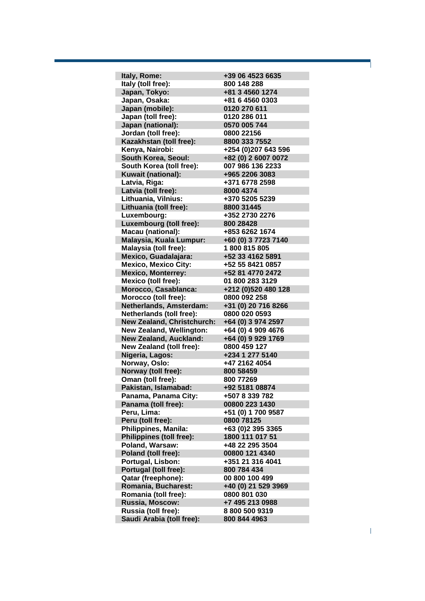**Italy, Rome: +39 06 4523 6635 Italy (toll free): 800 148 288 Japan, Tokyo: +81 3 4560 1274 Japan, Osaka: +81 6 4560 0303 Japan (mobile): 0120 270 611 Japan (toll free): 0120 286 011 Japan (national): 0570 005 744 Jordan (toll free): 0800 22156 Kazakhstan (toll free): 8800 333 7552 Kenya, Nairobi: +254 (0)207 643 596 South Korea, Seoul: +82 (0) 2 6007 0072 South Korea (toll free): 007 986 136 2233 Kuwait (national): +965 2206 3083 Latvia, Riga: +371 6778 2598 Latvia (toll free): 8000 4374 Lithuania, Vilnius: +370 5205 5239 Lithuania (toll free): 8800 31445 Luxembourg: +352 2730 2276 Luxembourg (toll free): 800 28428 Macau (national): +853 6262 1674 Malaysia, Kuala Lumpur: +60 (0) 3 7723 7140 Malaysia (toll free): 1 800 815 805 Mexico, Guadalajara: +52 33 4162 5891 Mexico, Mexico City: +52 55 8421 0857 Mexico, Monterrey: +52 81 4770 2472 Mexico (toll free): 01 800 283 3129 Morocco, Casablanca: +212 (0)520 480 128 Morocco (toll free): 0800 092 258 Netherlands, Amsterdam: +31 (0) 20 716 8266 Netherlands (toll free): 0800 020 0593 New Zealand, Christchurch: +64 (0) 3 974 2597 New Zealand, Wellington: +64 (0) 4 909 4676 New Zealand, Auckland: +64 (0) 9 929 1769 New Zealand (toll free): 0800 459 127 Nigeria, Lagos: +234 1 277 5140 Norway, Oslo: +47 2162 4054 Norway (toll free): 800 58459 Oman (toll free): 800 77269 Pakistan, Islamabad: +92 5181 08874 Panama, Panama City: +507 8 339 782 Panama (toll free): 00800 223 1430 Peru, Lima: +51 (0) 1 700 9587 Peru (toll free): 0800 78125 Philippines, Manila: +63 (0)2 395 3365 Philippines (toll free): 1800 111 017 51 Poland, Warsaw: +48 22 295 3504 Poland (toll free): 00800 121 4340 Portugal, Lisbon: +351 21 316 4041 Portugal (toll free): 800 784 434 Qatar (freephone): 00 800 100 499 Romania, Bucharest: +40 (0) 21 529 3969 Romania (toll free): 0800 801 030 Russia, Moscow: +7 495 213 0988 Russia (toll free): 8 800 500 9319 Saudi Arabia (toll free): 800 844 4963**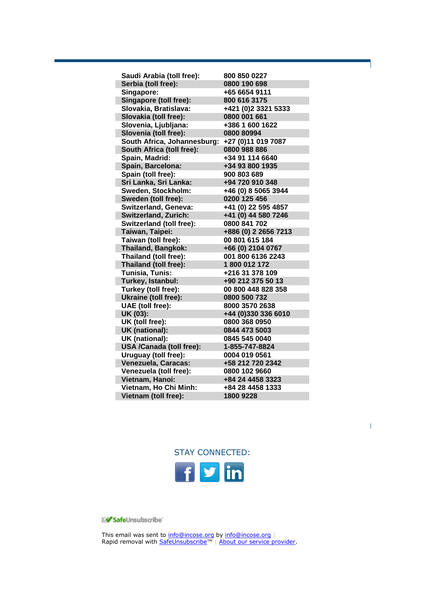| Saudi Arabia (toll free):       | 800 850 0227         |
|---------------------------------|----------------------|
| Serbia (toll free):             | 0800 190 698         |
| Singapore:                      | +65 6654 9111        |
| Singapore (toll free):          | 800 616 3175         |
| Slovakia, Bratislava:           | +421 (0)2 3321 5333  |
| Slovakia (toll free):           | 0800 001 661         |
| Slovenia, Ljubljana:            | +386 1 600 1622      |
| Slovenia (toll free):           | 0800 80994           |
| South Africa, Johannesburg:     | +27 (0)11 019 7087   |
| South Africa (toll free):       | 0800 988 886         |
| Spain, Madrid:                  | +34 91 114 6640      |
| Spain, Barcelona:               | +34 93 800 1935      |
| Spain (toll free):              | 900 803 689          |
| Sri Lanka, Sri Lanka:           | +94 720 910 348      |
| Sweden, Stockholm:              | +46 (0) 8 5065 3944  |
| Sweden (toll free):             | 0200 125 456         |
| Switzerland, Geneva:            | +41 (0) 22 595 4857  |
| <b>Switzerland, Zurich:</b>     | +41 (0) 44 580 7246  |
| <b>Switzerland (toll free):</b> | 0800 841 702         |
| Taiwan, Taipei:                 | +886 (0) 2 2656 7213 |
| Taiwan (toll free):             | 00 801 615 184       |
| <b>Thailand, Bangkok:</b>       | +66 (0) 2104 0767    |
| Thailand (toll free):           | 001 800 6136 2243    |
| Thailand (toll free):           | 1800 012 172         |
| Tunisia, Tunis:                 | +216 31 378 109      |
| Turkey, Istanbul:               | +90 212 375 50 13    |
| Turkey (toll free):             | 00 800 448 828 358   |
| Ukraine (toll free):            | 0800 500 732         |
| UAE (toll free):                | 8000 3570 2638       |
| UK (03):                        | +44 (0)330 336 6010  |
| UK (toll free):                 | 0800 368 0950        |
| UK (national):                  | 0844 473 5003        |
| UK (national):                  | 0845 545 0040        |
| <b>USA /Canada (toll free):</b> | 1-855-747-8824       |
| Uruguay (toll free):            | 0004 019 0561        |
| Venezuela, Caracas:             | +58 212 720 2342     |
| Venezuela (toll free):          | 0800 102 9660        |
| Vietnam, Hanoi:                 | +84 24 4458 3323     |
| Vietnam, Ho Chi Minh:           | +84 28 4458 1333     |
| Vietnam (toll free):            | 1800 9228            |



SafeUnsubscribe"

This email was sent to [info@incose.org](mailto:info@incose.org) by [info@incose.org](mailto:info@incose.org) | Rapid removal with [SafeUnsubscribe](http://visitor.constantcontact.com/do?p=un&mse=001rSkw_bAFFondz-nb3KsM8fvCX0Bzo9DAs178zcoHzUq_QY9mNdSSGA%3D%3D&t=001sAUPfN0wJRbSEPCWxNUQ8g%3D%3D&l=001FCSs65SMrsI%3D&id=001b-xBWU3VMkc4Hx7KwzMvny1Z4b1n_L9l&llr=gklfvycab)™ | [About our service provider.](http://www.constantcontact.com/legal/service-provider?cc=about-service-provider)